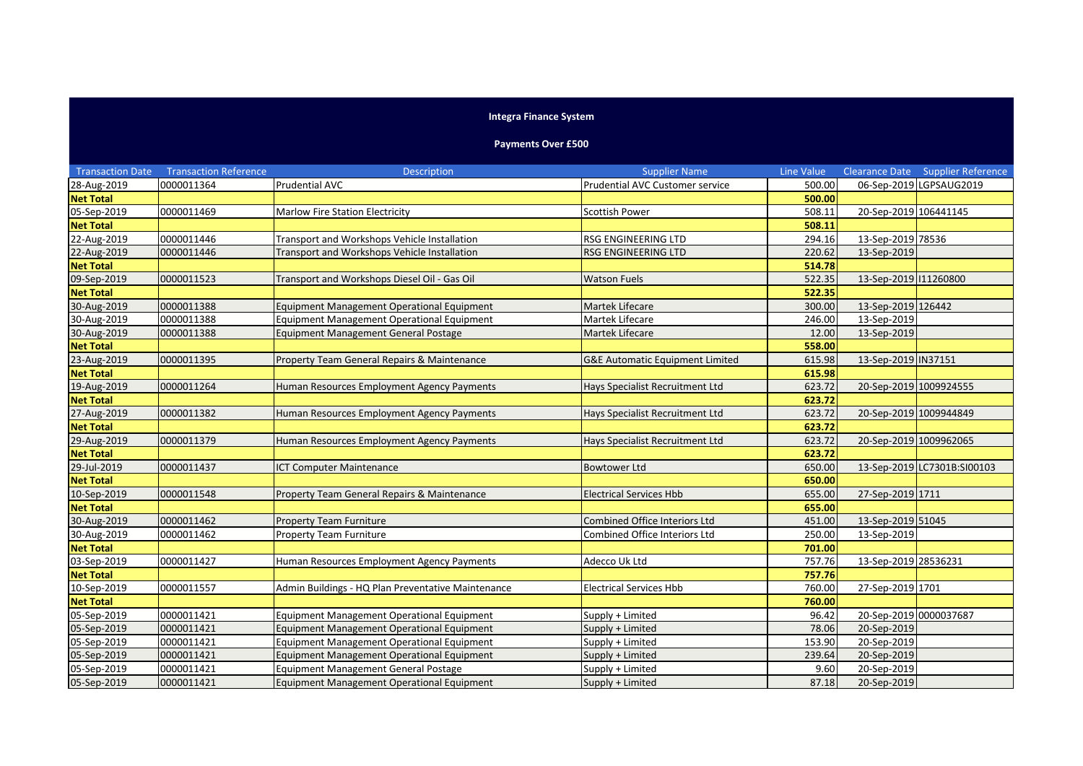## **Integra Finance System**

## **Payments Over £500**

| <b>Transaction Date</b> | <b>Transaction Reference</b> | Description                                        | <b>Supplier Name</b>                 | <b>Line Value</b> |                        | <b>Clearance Date Supplier Reference</b> |
|-------------------------|------------------------------|----------------------------------------------------|--------------------------------------|-------------------|------------------------|------------------------------------------|
| 28-Aug-2019             | 0000011364                   | <b>Prudential AVC</b>                              | Prudential AVC Customer service      | 500.00            |                        | 06-Sep-2019 LGPSAUG2019                  |
| <b>Net Total</b>        |                              |                                                    |                                      | 500.00            |                        |                                          |
| 05-Sep-2019             | 0000011469                   | Marlow Fire Station Electricity                    | Scottish Power                       | 508.11            | 20-Sep-2019 106441145  |                                          |
| <b>Net Total</b>        |                              |                                                    |                                      | 508.11            |                        |                                          |
| 22-Aug-2019             | 0000011446                   | Transport and Workshops Vehicle Installation       | RSG ENGINEERING LTD                  | 294.16            | 13-Sep-2019 78536      |                                          |
| 22-Aug-2019             | 0000011446                   | Transport and Workshops Vehicle Installation       | <b>RSG ENGINEERING LTD</b>           | 220.62            | 13-Sep-2019            |                                          |
| <b>Net Total</b>        |                              |                                                    |                                      | 514.78            |                        |                                          |
| 09-Sep-2019             | 0000011523                   | Transport and Workshops Diesel Oil - Gas Oil       | <b>Watson Fuels</b>                  | 522.35            | 13-Sep-2019 111260800  |                                          |
| <b>Net Total</b>        |                              |                                                    |                                      | 522.35            |                        |                                          |
| 30-Aug-2019             | 0000011388                   | <b>Equipment Management Operational Equipment</b>  | Martek Lifecare                      | 300.00            | 13-Sep-2019 126442     |                                          |
| 30-Aug-2019             | 0000011388                   | Equipment Management Operational Equipment         | Martek Lifecare                      | 246.00            | 13-Sep-2019            |                                          |
| 30-Aug-2019             | 0000011388                   | Equipment Management General Postage               | Martek Lifecare                      | 12.00             | 13-Sep-2019            |                                          |
| <b>Net Total</b>        |                              |                                                    |                                      | 558.00            |                        |                                          |
| 23-Aug-2019             | 0000011395                   | Property Team General Repairs & Maintenance        | G&E Automatic Equipment Limited      | 615.98            | 13-Sep-2019 IN37151    |                                          |
| <b>Net Total</b>        |                              |                                                    |                                      | 615.98            |                        |                                          |
| 19-Aug-2019             | 0000011264                   | Human Resources Employment Agency Payments         | Hays Specialist Recruitment Ltd      | 623.72            | 20-Sep-2019 1009924555 |                                          |
| <b>Net Total</b>        |                              |                                                    |                                      | 623.72            |                        |                                          |
| 27-Aug-2019             | 0000011382                   | Human Resources Employment Agency Payments         | Hays Specialist Recruitment Ltd      | 623.72            | 20-Sep-2019 1009944849 |                                          |
| <b>Net Total</b>        |                              |                                                    |                                      | 623.72            |                        |                                          |
| 29-Aug-2019             | 0000011379                   | Human Resources Employment Agency Payments         | Hays Specialist Recruitment Ltd      | 623.72            | 20-Sep-2019 1009962065 |                                          |
| <b>Net Total</b>        |                              |                                                    |                                      | 623.72            |                        |                                          |
| 29-Jul-2019             | 0000011437                   | <b>ICT Computer Maintenance</b>                    | <b>Bowtower Ltd</b>                  | 650.00            |                        | 13-Sep-2019 LC7301B:SI00103              |
| <b>Net Total</b>        |                              |                                                    |                                      | 650.00            |                        |                                          |
| 10-Sep-2019             | 0000011548                   | Property Team General Repairs & Maintenance        | <b>Electrical Services Hbb</b>       | 655.00            | 27-Sep-2019 1711       |                                          |
| <b>Net Total</b>        |                              |                                                    |                                      | 655.00            |                        |                                          |
| 30-Aug-2019             | 0000011462                   | <b>Property Team Furniture</b>                     | <b>Combined Office Interiors Ltd</b> | 451.00            | 13-Sep-2019 51045      |                                          |
| 30-Aug-2019             | 0000011462                   | <b>Property Team Furniture</b>                     | <b>Combined Office Interiors Ltd</b> | 250.00            | 13-Sep-2019            |                                          |
| <b>Net Total</b>        |                              |                                                    |                                      | 701.00            |                        |                                          |
| 03-Sep-2019             | 0000011427                   | Human Resources Employment Agency Payments         | Adecco Uk Ltd                        | 757.76            | 13-Sep-2019 28536231   |                                          |
| <b>Net Total</b>        |                              |                                                    |                                      | 757.76            |                        |                                          |
| 10-Sep-2019             | 0000011557                   | Admin Buildings - HQ Plan Preventative Maintenance | <b>Electrical Services Hbb</b>       | 760.00            | 27-Sep-2019 1701       |                                          |
| <b>Net Total</b>        |                              |                                                    |                                      | 760.00            |                        |                                          |
| 05-Sep-2019             | 0000011421                   | Equipment Management Operational Equipment         | Supply + Limited                     | 96.42             | 20-Sep-2019 0000037687 |                                          |
| 05-Sep-2019             | 0000011421                   | Equipment Management Operational Equipment         | Supply + Limited                     | 78.06             | 20-Sep-2019            |                                          |
| 05-Sep-2019             | 0000011421                   | Equipment Management Operational Equipment         | Supply + Limited                     | 153.90            | 20-Sep-2019            |                                          |
| 05-Sep-2019             | 0000011421                   | <b>Equipment Management Operational Equipment</b>  | Supply + Limited                     | 239.64            | 20-Sep-2019            |                                          |
| 05-Sep-2019             | 0000011421                   | <b>Equipment Management General Postage</b>        | Supply + Limited                     | 9.60              | 20-Sep-2019            |                                          |
| 05-Sep-2019             | 0000011421                   | <b>Equipment Management Operational Equipment</b>  | Supply + Limited                     | 87.18             | 20-Sep-2019            |                                          |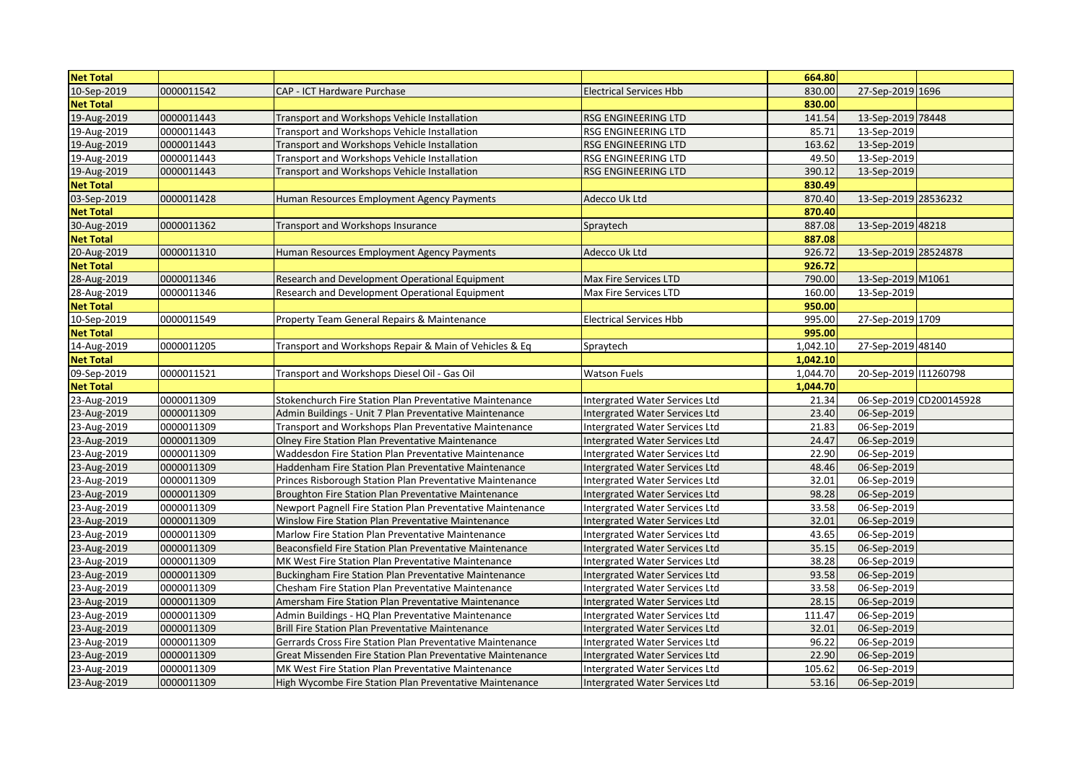| <b>Net Total</b> |            |                                                            |                                       | 664.80   |                            |
|------------------|------------|------------------------------------------------------------|---------------------------------------|----------|----------------------------|
| 10-Sep-2019      | 0000011542 | CAP - ICT Hardware Purchase                                | <b>Electrical Services Hbb</b>        | 830.00   | 27-Sep-2019 1696           |
| <b>Net Total</b> |            |                                                            |                                       | 830.00   |                            |
| 19-Aug-2019      | 0000011443 | Transport and Workshops Vehicle Installation               | <b>RSG ENGINEERING LTD</b>            | 141.54   | 13-Sep-2019 78448          |
| 19-Aug-2019      | 0000011443 | Transport and Workshops Vehicle Installation               | RSG ENGINEERING LTD                   | 85.71    | 13-Sep-2019                |
| 19-Aug-2019      | 0000011443 | Transport and Workshops Vehicle Installation               | <b>RSG ENGINEERING LTD</b>            | 163.62   | 13-Sep-2019                |
| 19-Aug-2019      | 0000011443 | Transport and Workshops Vehicle Installation               | RSG ENGINEERING LTD                   | 49.50    | 13-Sep-2019                |
| 19-Aug-2019      | 0000011443 | Transport and Workshops Vehicle Installation               | RSG ENGINEERING LTD                   | 390.12   | 13-Sep-2019                |
| <b>Net Total</b> |            |                                                            |                                       | 830.49   |                            |
| 03-Sep-2019      | 0000011428 | Human Resources Employment Agency Payments                 | Adecco Uk Ltd                         | 870.40   | 13-Sep-2019 28536232       |
| <b>Net Total</b> |            |                                                            |                                       | 870.40   |                            |
| 30-Aug-2019      | 0000011362 | Transport and Workshops Insurance                          | Spraytech                             | 887.08   | 13-Sep-2019 48218          |
| <b>Net Total</b> |            |                                                            |                                       | 887.08   |                            |
| 20-Aug-2019      | 0000011310 | Human Resources Employment Agency Payments                 | Adecco Uk Ltd                         | 926.72   | 13-Sep-2019 28524878       |
| <b>Net Total</b> |            |                                                            |                                       | 926.72   |                            |
| 28-Aug-2019      | 0000011346 | Research and Development Operational Equipment             | Max Fire Services LTD                 | 790.00   | 13-Sep-2019 M1061          |
| 28-Aug-2019      | 0000011346 | Research and Development Operational Equipment             | Max Fire Services LTD                 | 160.00   | 13-Sep-2019                |
| <b>Net Total</b> |            |                                                            |                                       | 950.00   |                            |
| 10-Sep-2019      | 0000011549 | Property Team General Repairs & Maintenance                | <b>Electrical Services Hbb</b>        | 995.00   | 27-Sep-2019 1709           |
| <b>Net Total</b> |            |                                                            |                                       | 995.00   |                            |
| 14-Aug-2019      | 0000011205 | Transport and Workshops Repair & Main of Vehicles & Eq     | Spraytech                             | 1.042.10 | 27-Sep-2019 48140          |
| <b>Net Total</b> |            |                                                            |                                       | 1,042.10 |                            |
| 09-Sep-2019      | 0000011521 | Transport and Workshops Diesel Oil - Gas Oil               | <b>Watson Fuels</b>                   | 1,044.70 | 20-Sep-2019 11260798       |
|                  |            |                                                            |                                       |          |                            |
| <b>Net Total</b> |            |                                                            |                                       | 1,044.70 |                            |
| 23-Aug-2019      | 0000011309 | Stokenchurch Fire Station Plan Preventative Maintenance    | Intergrated Water Services Ltd        | 21.34    | 06-Sep-2019 CD200145928    |
| 23-Aug-2019      | 0000011309 | Admin Buildings - Unit 7 Plan Preventative Maintenance     | Intergrated Water Services Ltd        | 23.40    | 06-Sep-2019                |
| 23-Aug-2019      | 0000011309 | Transport and Workshops Plan Preventative Maintenance      | Intergrated Water Services Ltd        | 21.83    | 06-Sep-2019                |
| 23-Aug-2019      | 0000011309 | Olney Fire Station Plan Preventative Maintenance           | Intergrated Water Services Ltd        | 24.47    | 06-Sep-2019                |
| 23-Aug-2019      | 0000011309 | Waddesdon Fire Station Plan Preventative Maintenance       | Intergrated Water Services Ltd        | 22.90    | 06-Sep-2019                |
| 23-Aug-2019      | 0000011309 | Haddenham Fire Station Plan Preventative Maintenance       | Intergrated Water Services Ltd        | 48.46    | 06-Sep-2019                |
| 23-Aug-2019      | 0000011309 | Princes Risborough Station Plan Preventative Maintenance   | Intergrated Water Services Ltd        | 32.01    | 06-Sep-2019                |
| 23-Aug-2019      | 0000011309 | Broughton Fire Station Plan Preventative Maintenance       | Intergrated Water Services Ltd        | 98.28    | 06-Sep-2019                |
| 23-Aug-2019      | 0000011309 | Newport Pagnell Fire Station Plan Preventative Maintenance | Intergrated Water Services Ltd        | 33.58    | 06-Sep-2019                |
| 23-Aug-2019      | 0000011309 | Winslow Fire Station Plan Preventative Maintenance         | Intergrated Water Services Ltd        | 32.01    | 06-Sep-2019                |
| 23-Aug-2019      | 0000011309 | Marlow Fire Station Plan Preventative Maintenance          | Intergrated Water Services Ltd        | 43.65    | 06-Sep-2019                |
| 23-Aug-2019      | 0000011309 | Beaconsfield Fire Station Plan Preventative Maintenance    | Intergrated Water Services Ltd        | 35.15    | 06-Sep-2019                |
| 23-Aug-2019      | 0000011309 | MK West Fire Station Plan Preventative Maintenance         | Intergrated Water Services Ltd        | 38.28    | 06-Sep-2019                |
| 23-Aug-2019      | 0000011309 | Buckingham Fire Station Plan Preventative Maintenance      | Intergrated Water Services Ltd        | 93.58    | 06-Sep-2019                |
| 23-Aug-2019      | 0000011309 | Chesham Fire Station Plan Preventative Maintenance         | Intergrated Water Services Ltd        | 33.58    | 06-Sep-2019                |
| 23-Aug-2019      | 0000011309 | Amersham Fire Station Plan Preventative Maintenance        | Intergrated Water Services Ltd        | 28.15    | 06-Sep-2019                |
| 23-Aug-2019      | 0000011309 | Admin Buildings - HQ Plan Preventative Maintenance         | Intergrated Water Services Ltd        | 111.47   | 06-Sep-2019                |
| 23-Aug-2019      | 0000011309 | Brill Fire Station Plan Preventative Maintenance           | Intergrated Water Services Ltd        | 32.01    | 06-Sep-2019                |
| 23-Aug-2019      | 0000011309 | Gerrards Cross Fire Station Plan Preventative Maintenance  | Intergrated Water Services Ltd        | 96.22    | 06-Sep-2019                |
| 23-Aug-2019      | 0000011309 | Great Missenden Fire Station Plan Preventative Maintenance | Intergrated Water Services Ltd        | 22.90    | 06-Sep-2019                |
| 23-Aug-2019      | 0000011309 | MK West Fire Station Plan Preventative Maintenance         | <b>Intergrated Water Services Ltd</b> | 105.62   | 06-Sep-2019<br>06-Sep-2019 |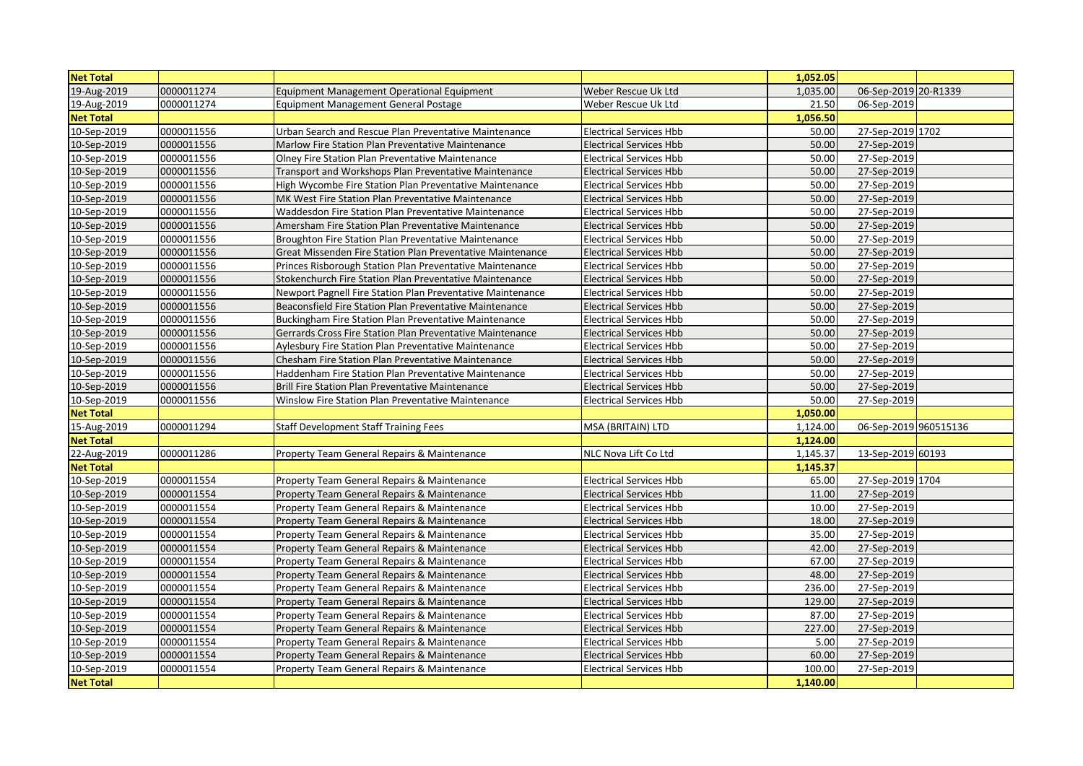| <b>Net Total</b> |            |                                                            |                                | 1,052.05 |                       |  |
|------------------|------------|------------------------------------------------------------|--------------------------------|----------|-----------------------|--|
| 19-Aug-2019      | 0000011274 | Equipment Management Operational Equipment                 | Weber Rescue Uk Ltd            | 1,035.00 | 06-Sep-2019 20-R1339  |  |
| 19-Aug-2019      | 0000011274 | <b>Equipment Management General Postage</b>                | Weber Rescue Uk Ltd            | 21.50    | 06-Sep-2019           |  |
| <b>Net Total</b> |            |                                                            |                                | 1,056.50 |                       |  |
| 10-Sep-2019      | 0000011556 | Urban Search and Rescue Plan Preventative Maintenance      | <b>Electrical Services Hbb</b> | 50.00    | 27-Sep-2019 1702      |  |
| 10-Sep-2019      | 0000011556 | Marlow Fire Station Plan Preventative Maintenance          | <b>Electrical Services Hbb</b> | 50.00    | 27-Sep-2019           |  |
| 10-Sep-2019      | 0000011556 | Olney Fire Station Plan Preventative Maintenance           | <b>Electrical Services Hbb</b> | 50.00    | 27-Sep-2019           |  |
| 10-Sep-2019      | 0000011556 | Transport and Workshops Plan Preventative Maintenance      | <b>Electrical Services Hbb</b> | 50.00    | 27-Sep-2019           |  |
| 10-Sep-2019      | 0000011556 | High Wycombe Fire Station Plan Preventative Maintenance    | <b>Electrical Services Hbb</b> | 50.00    | 27-Sep-2019           |  |
| 10-Sep-2019      | 0000011556 | MK West Fire Station Plan Preventative Maintenance         | <b>Electrical Services Hbb</b> | 50.00    | 27-Sep-2019           |  |
| 10-Sep-2019      | 0000011556 | Waddesdon Fire Station Plan Preventative Maintenance       | <b>Electrical Services Hbb</b> | 50.00    | 27-Sep-2019           |  |
| 10-Sep-2019      | 0000011556 | Amersham Fire Station Plan Preventative Maintenance        | <b>Electrical Services Hbb</b> | 50.00    | 27-Sep-2019           |  |
| 10-Sep-2019      | 0000011556 | Broughton Fire Station Plan Preventative Maintenance       | <b>Electrical Services Hbb</b> | 50.00    | 27-Sep-2019           |  |
| 10-Sep-2019      | 0000011556 | Great Missenden Fire Station Plan Preventative Maintenance | <b>Electrical Services Hbb</b> | 50.00    | 27-Sep-2019           |  |
| 10-Sep-2019      | 0000011556 | Princes Risborough Station Plan Preventative Maintenance   | <b>Electrical Services Hbb</b> | 50.00    | 27-Sep-2019           |  |
| 10-Sep-2019      | 0000011556 | Stokenchurch Fire Station Plan Preventative Maintenance    | <b>Electrical Services Hbb</b> | 50.00    | 27-Sep-2019           |  |
| 10-Sep-2019      | 0000011556 | Newport Pagnell Fire Station Plan Preventative Maintenance | <b>Electrical Services Hbb</b> | 50.00    | 27-Sep-2019           |  |
| 10-Sep-2019      | 0000011556 | Beaconsfield Fire Station Plan Preventative Maintenance    | <b>Electrical Services Hbb</b> | 50.00    | 27-Sep-2019           |  |
| 10-Sep-2019      | 0000011556 | Buckingham Fire Station Plan Preventative Maintenance      | <b>Electrical Services Hbb</b> | 50.00    | 27-Sep-2019           |  |
| 10-Sep-2019      | 0000011556 | Gerrards Cross Fire Station Plan Preventative Maintenance  | <b>Electrical Services Hbb</b> | 50.00    | 27-Sep-2019           |  |
| 10-Sep-2019      | 0000011556 | Aylesbury Fire Station Plan Preventative Maintenance       | <b>Electrical Services Hbb</b> | 50.00    | 27-Sep-2019           |  |
| 10-Sep-2019      | 0000011556 | Chesham Fire Station Plan Preventative Maintenance         | <b>Electrical Services Hbb</b> | 50.00    | 27-Sep-2019           |  |
| 10-Sep-2019      | 0000011556 | Haddenham Fire Station Plan Preventative Maintenance       | <b>Electrical Services Hbb</b> | 50.00    | 27-Sep-2019           |  |
| 10-Sep-2019      | 0000011556 | Brill Fire Station Plan Preventative Maintenance           | Electrical Services Hbb        | 50.00    | 27-Sep-2019           |  |
| 10-Sep-2019      | 0000011556 | Winslow Fire Station Plan Preventative Maintenance         | <b>Electrical Services Hbb</b> | 50.00    | 27-Sep-2019           |  |
| <b>Net Total</b> |            |                                                            |                                | 1,050.00 |                       |  |
| 15-Aug-2019      | 0000011294 | <b>Staff Development Staff Training Fees</b>               | MSA (BRITAIN) LTD              | 1,124.00 | 06-Sep-2019 960515136 |  |
| <b>Net Total</b> |            |                                                            |                                | 1,124.00 |                       |  |
| 22-Aug-2019      | 0000011286 | Property Team General Repairs & Maintenance                | NLC Nova Lift Co Ltd           | 1,145.37 | 13-Sep-2019 60193     |  |
| <b>Net Total</b> |            |                                                            |                                | 1,145.37 |                       |  |
| 10-Sep-2019      | 0000011554 | Property Team General Repairs & Maintenance                | <b>Electrical Services Hbb</b> | 65.00    | 27-Sep-2019 1704      |  |
| 10-Sep-2019      | 0000011554 | Property Team General Repairs & Maintenance                | <b>Electrical Services Hbb</b> | 11.00    | 27-Sep-2019           |  |
| 10-Sep-2019      | 0000011554 | Property Team General Repairs & Maintenance                | <b>Electrical Services Hbb</b> | 10.00    | 27-Sep-2019           |  |
| 10-Sep-2019      | 0000011554 | Property Team General Repairs & Maintenance                | <b>Electrical Services Hbb</b> | 18.00    | 27-Sep-2019           |  |
| 10-Sep-2019      | 0000011554 | Property Team General Repairs & Maintenance                | <b>Electrical Services Hbb</b> | 35.00    | 27-Sep-2019           |  |
| 10-Sep-2019      | 0000011554 | Property Team General Repairs & Maintenance                | <b>Electrical Services Hbb</b> | 42.00    | 27-Sep-2019           |  |
| 10-Sep-2019      | 0000011554 | Property Team General Repairs & Maintenance                | <b>Electrical Services Hbb</b> | 67.00    | 27-Sep-2019           |  |
| 10-Sep-2019      | 0000011554 | Property Team General Repairs & Maintenance                | <b>Electrical Services Hbb</b> | 48.00    | 27-Sep-2019           |  |
| 10-Sep-2019      | 0000011554 | Property Team General Repairs & Maintenance                | <b>Electrical Services Hbb</b> | 236.00   | 27-Sep-2019           |  |
| 10-Sep-2019      | 0000011554 | Property Team General Repairs & Maintenance                | Electrical Services Hbb        | 129.00   | 27-Sep-2019           |  |
| 10-Sep-2019      | 0000011554 | Property Team General Repairs & Maintenance                | Electrical Services Hbb        | 87.00    | 27-Sep-2019           |  |
| 10-Sep-2019      | 0000011554 | Property Team General Repairs & Maintenance                | <b>Electrical Services Hbb</b> | 227.00   | 27-Sep-2019           |  |
| 10-Sep-2019      | 0000011554 | Property Team General Repairs & Maintenance                | <b>Electrical Services Hbb</b> | 5.00     | 27-Sep-2019           |  |
| 10-Sep-2019      | 0000011554 | Property Team General Repairs & Maintenance                | <b>Electrical Services Hbb</b> | 60.00    | 27-Sep-2019           |  |
| 10-Sep-2019      | 0000011554 | Property Team General Repairs & Maintenance                | <b>Electrical Services Hbb</b> | 100.00   | 27-Sep-2019           |  |
| <b>Net Total</b> |            |                                                            |                                | 1.140.00 |                       |  |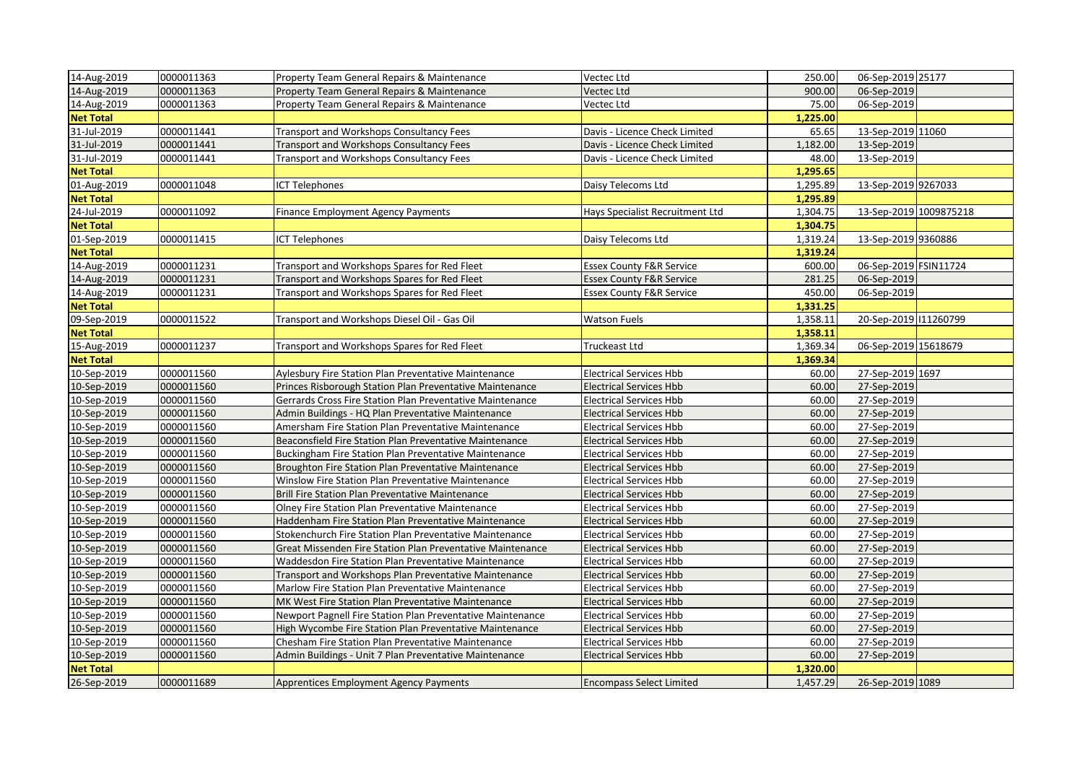| 14-Aug-2019      | 0000011363 | Property Team General Repairs & Maintenance                | Vectec Ltd                          | 250.00   | 06-Sep-2019 25177      |  |
|------------------|------------|------------------------------------------------------------|-------------------------------------|----------|------------------------|--|
| 14-Aug-2019      | 0000011363 | Property Team General Repairs & Maintenance                | Vectec Ltd                          | 900.00   | 06-Sep-2019            |  |
| 14-Aug-2019      | 0000011363 | Property Team General Repairs & Maintenance                | Vectec Ltd                          | 75.00    | 06-Sep-2019            |  |
| <b>Net Total</b> |            |                                                            |                                     | 1,225.00 |                        |  |
| 31-Jul-2019      | 0000011441 | Transport and Workshops Consultancy Fees                   | Davis - Licence Check Limited       | 65.65    | 13-Sep-2019 11060      |  |
| 31-Jul-2019      | 0000011441 | Transport and Workshops Consultancy Fees                   | Davis - Licence Check Limited       | 1,182.00 | 13-Sep-2019            |  |
| 31-Jul-2019      | 0000011441 | Transport and Workshops Consultancy Fees                   | Davis - Licence Check Limited       | 48.00    | 13-Sep-2019            |  |
| <b>Net Total</b> |            |                                                            |                                     | 1,295.65 |                        |  |
| 01-Aug-2019      | 0000011048 | <b>CT Telephones</b>                                       | Daisy Telecoms Ltd                  | 1,295.89 | 13-Sep-2019 9267033    |  |
| <b>Net Total</b> |            |                                                            |                                     | 1,295.89 |                        |  |
| 24-Jul-2019      | 0000011092 | Finance Employment Agency Payments                         | Hays Specialist Recruitment Ltd     | 1,304.75 | 13-Sep-2019 1009875218 |  |
| <b>Net Total</b> |            |                                                            |                                     | 1,304.75 |                        |  |
| 01-Sep-2019      | 0000011415 | <b>CT Telephones</b>                                       | Daisy Telecoms Ltd                  | 1,319.24 | 13-Sep-2019 9360886    |  |
| <b>Net Total</b> |            |                                                            |                                     | 1,319.24 |                        |  |
| 14-Aug-2019      | 0000011231 | Transport and Workshops Spares for Red Fleet               | <b>Essex County F&amp;R Service</b> | 600.00   | 06-Sep-2019 FSIN11724  |  |
| 14-Aug-2019      | 0000011231 | Transport and Workshops Spares for Red Fleet               | <b>Essex County F&amp;R Service</b> | 281.25   | 06-Sep-2019            |  |
| 14-Aug-2019      | 0000011231 | Transport and Workshops Spares for Red Fleet               | <b>Essex County F&amp;R Service</b> | 450.00   | 06-Sep-2019            |  |
| <b>Net Total</b> |            |                                                            |                                     | 1,331.25 |                        |  |
| 09-Sep-2019      | 0000011522 | Transport and Workshops Diesel Oil - Gas Oil               | <b>Watson Fuels</b>                 | 1,358.11 | 20-Sep-2019 11260799   |  |
| <b>Net Total</b> |            |                                                            |                                     | 1,358.11 |                        |  |
| 15-Aug-2019      | 0000011237 | Transport and Workshops Spares for Red Fleet               | Truckeast Ltd                       | 1,369.34 | 06-Sep-2019 15618679   |  |
| <b>Net Total</b> |            |                                                            |                                     | 1,369.34 |                        |  |
| 10-Sep-2019      | 0000011560 | Aylesbury Fire Station Plan Preventative Maintenance       | <b>Electrical Services Hbb</b>      | 60.00    | 27-Sep-2019 1697       |  |
| 10-Sep-2019      | 0000011560 | Princes Risborough Station Plan Preventative Maintenance   | <b>Electrical Services Hbb</b>      | 60.00    | 27-Sep-2019            |  |
| 10-Sep-2019      | 0000011560 | Gerrards Cross Fire Station Plan Preventative Maintenance  | <b>Electrical Services Hbb</b>      | 60.00    | 27-Sep-2019            |  |
| 10-Sep-2019      | 0000011560 | Admin Buildings - HQ Plan Preventative Maintenance         | <b>Electrical Services Hbb</b>      | 60.00    | 27-Sep-2019            |  |
| 10-Sep-2019      | 0000011560 | Amersham Fire Station Plan Preventative Maintenance        | <b>Electrical Services Hbb</b>      | 60.00    | 27-Sep-2019            |  |
| 10-Sep-2019      | 0000011560 | Beaconsfield Fire Station Plan Preventative Maintenance    | <b>Electrical Services Hbb</b>      | 60.00    | 27-Sep-2019            |  |
| 10-Sep-2019      | 0000011560 | Buckingham Fire Station Plan Preventative Maintenance      | Electrical Services Hbb             | 60.00    | 27-Sep-2019            |  |
| 10-Sep-2019      | 0000011560 | Broughton Fire Station Plan Preventative Maintenance       | <b>Electrical Services Hbb</b>      | 60.00    | 27-Sep-2019            |  |
| 10-Sep-2019      | 0000011560 | Winslow Fire Station Plan Preventative Maintenance         | <b>Electrical Services Hbb</b>      | 60.00    | 27-Sep-2019            |  |
| 10-Sep-2019      | 0000011560 | Brill Fire Station Plan Preventative Maintenance           | <b>Electrical Services Hbb</b>      | 60.00    | 27-Sep-2019            |  |
| 10-Sep-2019      | 0000011560 | Olney Fire Station Plan Preventative Maintenance           | <b>Electrical Services Hbb</b>      | 60.00    | 27-Sep-2019            |  |
| 10-Sep-2019      | 0000011560 | Haddenham Fire Station Plan Preventative Maintenance       | <b>Electrical Services Hbb</b>      | 60.00    | 27-Sep-2019            |  |
| 10-Sep-2019      | 0000011560 | Stokenchurch Fire Station Plan Preventative Maintenance    | <b>Electrical Services Hbb</b>      | 60.00    | 27-Sep-2019            |  |
| 10-Sep-2019      | 0000011560 | Great Missenden Fire Station Plan Preventative Maintenance | <b>Electrical Services Hbb</b>      | 60.00    | 27-Sep-2019            |  |
| 10-Sep-2019      | 0000011560 | Waddesdon Fire Station Plan Preventative Maintenance       | Electrical Services Hbb             | 60.00    | 27-Sep-2019            |  |
| 10-Sep-2019      | 0000011560 | Transport and Workshops Plan Preventative Maintenance      | <b>Electrical Services Hbb</b>      | 60.00    | 27-Sep-2019            |  |
| 10-Sep-2019      | 0000011560 | Marlow Fire Station Plan Preventative Maintenance          | <b>Electrical Services Hbb</b>      | 60.00    | 27-Sep-2019            |  |
| 10-Sep-2019      | 0000011560 | MK West Fire Station Plan Preventative Maintenance         | <b>Electrical Services Hbb</b>      | 60.00    | 27-Sep-2019            |  |
| 10-Sep-2019      | 0000011560 | Newport Pagnell Fire Station Plan Preventative Maintenance | <b>Electrical Services Hbb</b>      | 60.00    | 27-Sep-2019            |  |
| 10-Sep-2019      | 0000011560 | High Wycombe Fire Station Plan Preventative Maintenance    | <b>Electrical Services Hbb</b>      | 60.00    | 27-Sep-2019            |  |
| 10-Sep-2019      | 0000011560 | Chesham Fire Station Plan Preventative Maintenance         | <b>Electrical Services Hbb</b>      | 60.00    | 27-Sep-2019            |  |
| 10-Sep-2019      | 0000011560 | Admin Buildings - Unit 7 Plan Preventative Maintenance     | <b>Electrical Services Hbb</b>      | 60.00    | 27-Sep-2019            |  |
| <b>Net Total</b> |            |                                                            |                                     | 1.320.00 |                        |  |
| 26-Sep-2019      | 0000011689 | <b>Apprentices Employment Agency Payments</b>              | <b>Encompass Select Limited</b>     | 1,457.29 | 26-Sep-2019 1089       |  |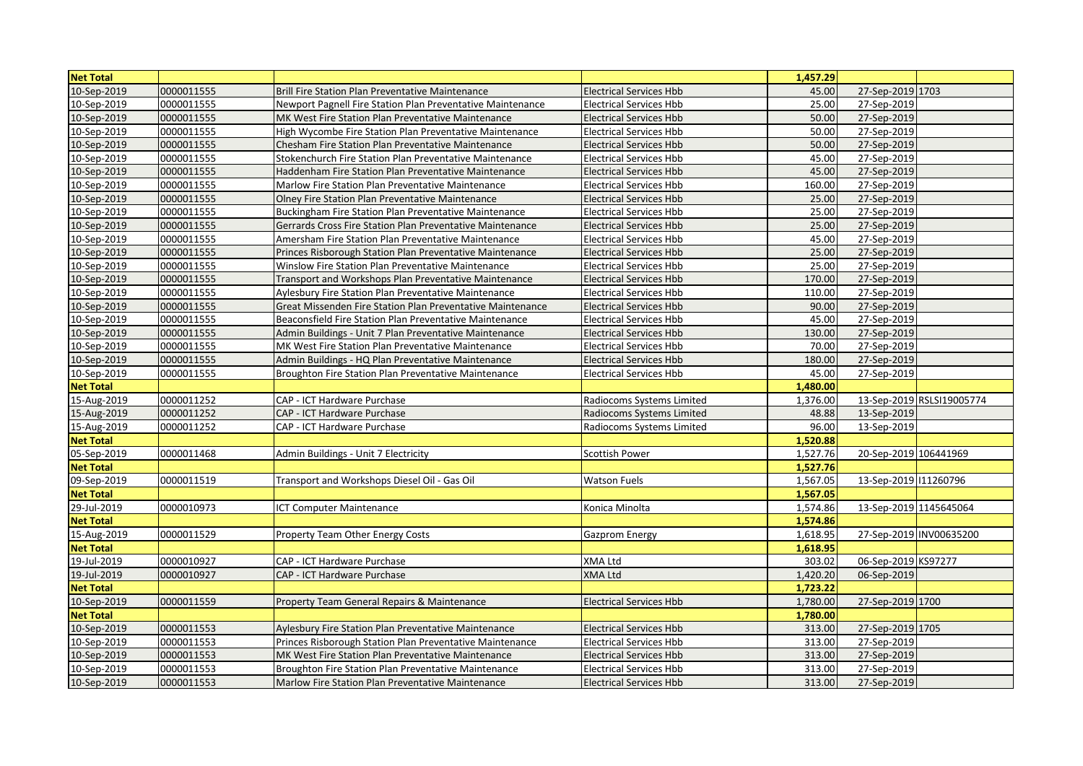| <b>Net Total</b> |            |                                                            |                                | 1,457.29 |                        |                           |
|------------------|------------|------------------------------------------------------------|--------------------------------|----------|------------------------|---------------------------|
| 10-Sep-2019      | 0000011555 | Brill Fire Station Plan Preventative Maintenance           | <b>Electrical Services Hbb</b> | 45.00    | 27-Sep-2019 1703       |                           |
| 10-Sep-2019      | 0000011555 | Newport Pagnell Fire Station Plan Preventative Maintenance | <b>Electrical Services Hbb</b> | 25.00    | 27-Sep-2019            |                           |
| 10-Sep-2019      | 0000011555 | MK West Fire Station Plan Preventative Maintenance         | <b>Electrical Services Hbb</b> | 50.00    | 27-Sep-2019            |                           |
| 10-Sep-2019      | 0000011555 | High Wycombe Fire Station Plan Preventative Maintenance    | <b>Electrical Services Hbb</b> | 50.00    | 27-Sep-2019            |                           |
| 10-Sep-2019      | 0000011555 | Chesham Fire Station Plan Preventative Maintenance         | <b>Electrical Services Hbb</b> | 50.00    | 27-Sep-2019            |                           |
| 10-Sep-2019      | 0000011555 | Stokenchurch Fire Station Plan Preventative Maintenance    | Electrical Services Hbb        | 45.00    | 27-Sep-2019            |                           |
| 10-Sep-2019      | 0000011555 | Haddenham Fire Station Plan Preventative Maintenance       | Electrical Services Hbb        | 45.00    | 27-Sep-2019            |                           |
| 10-Sep-2019      | 0000011555 | Marlow Fire Station Plan Preventative Maintenance          | <b>Electrical Services Hbb</b> | 160.00   | 27-Sep-2019            |                           |
| 10-Sep-2019      | 0000011555 | Olney Fire Station Plan Preventative Maintenance           | <b>Electrical Services Hbb</b> | 25.00    | 27-Sep-2019            |                           |
| 10-Sep-2019      | 0000011555 | Buckingham Fire Station Plan Preventative Maintenance      | Electrical Services Hbb        | 25.00    | 27-Sep-2019            |                           |
| 10-Sep-2019      | 0000011555 | Gerrards Cross Fire Station Plan Preventative Maintenance  | <b>Electrical Services Hbb</b> | 25.00    | 27-Sep-2019            |                           |
| 10-Sep-2019      | 0000011555 | Amersham Fire Station Plan Preventative Maintenance        | <b>Electrical Services Hbb</b> | 45.00    | 27-Sep-2019            |                           |
| 10-Sep-2019      | 0000011555 | Princes Risborough Station Plan Preventative Maintenance   | <b>Electrical Services Hbb</b> | 25.00    | 27-Sep-2019            |                           |
| 10-Sep-2019      | 0000011555 | Winslow Fire Station Plan Preventative Maintenance         | <b>Electrical Services Hbb</b> | 25.00    | 27-Sep-2019            |                           |
| 10-Sep-2019      | 0000011555 | Transport and Workshops Plan Preventative Maintenance      | Electrical Services Hbb        | 170.00   | 27-Sep-2019            |                           |
| 10-Sep-2019      | 0000011555 | Aylesbury Fire Station Plan Preventative Maintenance       | <b>Electrical Services Hbb</b> | 110.00   | 27-Sep-2019            |                           |
| 10-Sep-2019      | 0000011555 | Great Missenden Fire Station Plan Preventative Maintenance | <b>Electrical Services Hbb</b> | 90.00    | 27-Sep-2019            |                           |
| 10-Sep-2019      | 0000011555 | Beaconsfield Fire Station Plan Preventative Maintenance    | <b>Electrical Services Hbb</b> | 45.00    | 27-Sep-2019            |                           |
| 10-Sep-2019      | 0000011555 | Admin Buildings - Unit 7 Plan Preventative Maintenance     | Electrical Services Hbb        | 130.00   | 27-Sep-2019            |                           |
| 10-Sep-2019      | 0000011555 | MK West Fire Station Plan Preventative Maintenance         | <b>Electrical Services Hbb</b> | 70.00    | 27-Sep-2019            |                           |
| 10-Sep-2019      | 0000011555 | Admin Buildings - HQ Plan Preventative Maintenance         | <b>Electrical Services Hbb</b> | 180.00   | 27-Sep-2019            |                           |
| 10-Sep-2019      | 0000011555 | Broughton Fire Station Plan Preventative Maintenance       | <b>Electrical Services Hbb</b> | 45.00    | 27-Sep-2019            |                           |
| <b>Net Total</b> |            |                                                            |                                | 1,480.00 |                        |                           |
| 15-Aug-2019      | 0000011252 | CAP - ICT Hardware Purchase                                | Radiocoms Systems Limited      | 1,376.00 |                        | 13-Sep-2019 RSLSI19005774 |
| 15-Aug-2019      | 0000011252 | CAP - ICT Hardware Purchase                                | Radiocoms Systems Limited      | 48.88    | 13-Sep-2019            |                           |
| 15-Aug-2019      | 0000011252 | CAP - ICT Hardware Purchase                                | Radiocoms Systems Limited      | 96.00    | 13-Sep-2019            |                           |
| <b>Net Total</b> |            |                                                            |                                | 1,520.88 |                        |                           |
| 05-Sep-2019      | 0000011468 | Admin Buildings - Unit 7 Electricity                       | Scottish Power                 | 1,527.76 | 20-Sep-2019 106441969  |                           |
| <b>Net Total</b> |            |                                                            |                                | 1,527.76 |                        |                           |
| 09-Sep-2019      | 0000011519 | Transport and Workshops Diesel Oil - Gas Oil               | Watson Fuels                   | 1,567.05 | 13-Sep-2019 111260796  |                           |
| <b>Net Total</b> |            |                                                            |                                | 1,567.05 |                        |                           |
| 29-Jul-2019      | 0000010973 | ICT Computer Maintenance                                   | Konica Minolta                 | 1,574.86 | 13-Sep-2019 1145645064 |                           |
| <b>Net Total</b> |            |                                                            |                                | 1,574.86 |                        |                           |
| 15-Aug-2019      | 0000011529 | Property Team Other Energy Costs                           | <b>Gazprom Energy</b>          | 1,618.95 |                        | 27-Sep-2019 INV00635200   |
| <b>Net Total</b> |            |                                                            |                                | 1,618.95 |                        |                           |
| 19-Jul-2019      | 0000010927 | CAP - ICT Hardware Purchase                                | <b>XMA Ltd</b>                 | 303.02   | 06-Sep-2019 KS97277    |                           |
| 19-Jul-2019      | 0000010927 | <b>CAP - ICT Hardware Purchase</b>                         | XMA Ltd                        | 1,420.20 | 06-Sep-2019            |                           |
| <b>Net Total</b> |            |                                                            |                                | 1,723.22 |                        |                           |
| 10-Sep-2019      | 0000011559 | Property Team General Repairs & Maintenance                | <b>Electrical Services Hbb</b> | 1,780.00 | 27-Sep-2019 1700       |                           |
| <b>Net Total</b> |            |                                                            |                                | 1,780.00 |                        |                           |
| 10-Sep-2019      | 0000011553 | Aylesbury Fire Station Plan Preventative Maintenance       | <b>Electrical Services Hbb</b> | 313.00   | 27-Sep-2019 1705       |                           |
| 10-Sep-2019      | 0000011553 | Princes Risborough Station Plan Preventative Maintenance   | <b>Electrical Services Hbb</b> | 313.00   | 27-Sep-2019            |                           |
| 10-Sep-2019      | 0000011553 | MK West Fire Station Plan Preventative Maintenance         | <b>Electrical Services Hbb</b> | 313.00   | 27-Sep-2019            |                           |
| 10-Sep-2019      | 0000011553 | Broughton Fire Station Plan Preventative Maintenance       | <b>Electrical Services Hbb</b> | 313.00   | 27-Sep-2019            |                           |
| 10-Sep-2019      | 0000011553 | Marlow Fire Station Plan Preventative Maintenance          | <b>Electrical Services Hbb</b> | 313.00   | 27-Sep-2019            |                           |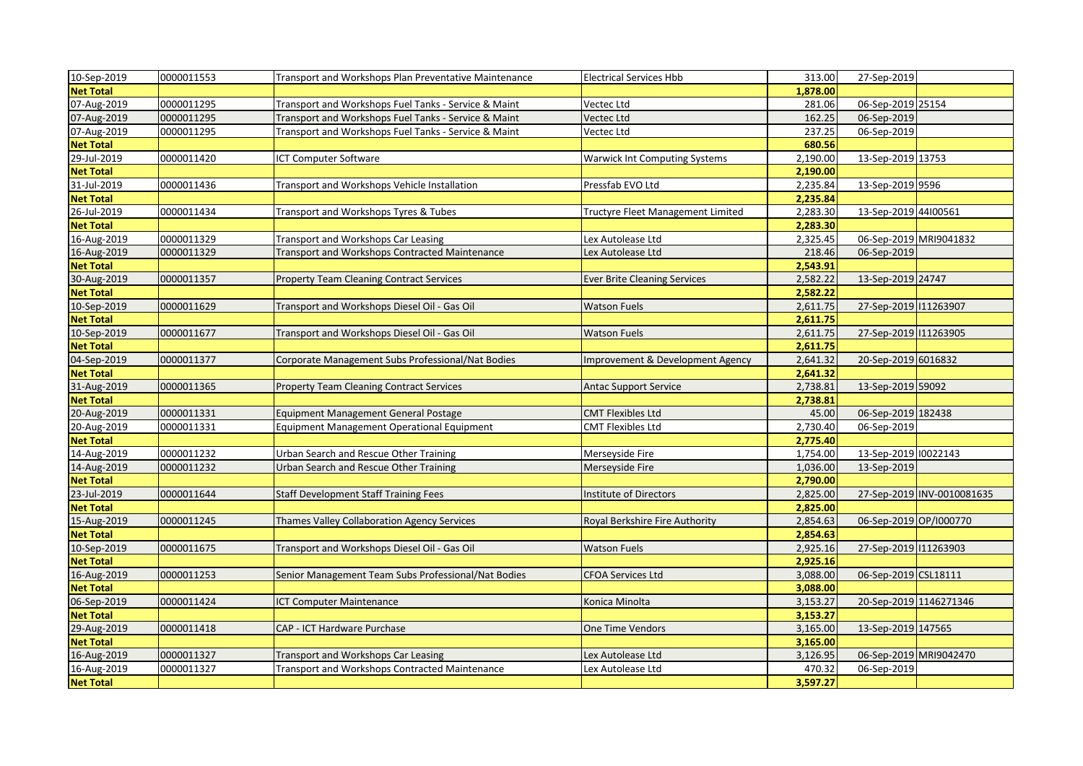| 10-Sep-2019      | 0000011553 | Transport and Workshops Plan Preventative Maintenance | <b>Electrical Services Hbb</b>       | 313.00   | 27-Sep-2019            |                            |
|------------------|------------|-------------------------------------------------------|--------------------------------------|----------|------------------------|----------------------------|
| <b>Net Total</b> |            |                                                       |                                      | 1,878.00 |                        |                            |
| 07-Aug-2019      | 0000011295 | Transport and Workshops Fuel Tanks - Service & Maint  | Vectec Ltd                           | 281.06   | 06-Sep-2019 25154      |                            |
| 07-Aug-2019      | 0000011295 | Transport and Workshops Fuel Tanks - Service & Maint  | Vectec Ltd                           | 162.25   | 06-Sep-2019            |                            |
| 07-Aug-2019      | 0000011295 | Transport and Workshops Fuel Tanks - Service & Maint  | Vectec Ltd                           | 237.25   | 06-Sep-2019            |                            |
| <b>Net Total</b> |            |                                                       |                                      | 680.56   |                        |                            |
| 29-Jul-2019      | 0000011420 | <b>ICT Computer Software</b>                          | <b>Warwick Int Computing Systems</b> | 2,190.00 | 13-Sep-2019 13753      |                            |
| <b>Net Total</b> |            |                                                       |                                      | 2,190.00 |                        |                            |
| 31-Jul-2019      | 0000011436 | Transport and Workshops Vehicle Installation          | Pressfab EVO Ltd                     | 2,235.84 | 13-Sep-2019 9596       |                            |
| <b>Net Total</b> |            |                                                       |                                      | 2,235.84 |                        |                            |
| 26-Jul-2019      | 0000011434 | Transport and Workshops Tyres & Tubes                 | Tructyre Fleet Management Limited    | 2,283.30 | 13-Sep-2019 44100561   |                            |
| <b>Net Total</b> |            |                                                       |                                      | 2,283.30 |                        |                            |
| 16-Aug-2019      | 0000011329 | Transport and Workshops Car Leasing                   | Lex Autolease Ltd                    | 2,325.45 | 06-Sep-2019 MRI9041832 |                            |
| 16-Aug-2019      | 0000011329 | <b>Transport and Workshops Contracted Maintenance</b> | Lex Autolease Ltd                    | 218.46   | 06-Sep-2019            |                            |
| <b>Net Total</b> |            |                                                       |                                      | 2,543.91 |                        |                            |
| 30-Aug-2019      | 0000011357 | <b>Property Team Cleaning Contract Services</b>       | <b>Ever Brite Cleaning Services</b>  | 2,582.22 | 13-Sep-2019 24747      |                            |
| <b>Net Total</b> |            |                                                       |                                      | 2,582.22 |                        |                            |
| 10-Sep-2019      | 0000011629 | Transport and Workshops Diesel Oil - Gas Oil          | <b>Watson Fuels</b>                  | 2,611.75 | 27-Sep-2019 11263907   |                            |
| <b>Net Total</b> |            |                                                       |                                      | 2,611.75 |                        |                            |
| 10-Sep-2019      | 0000011677 | Transport and Workshops Diesel Oil - Gas Oil          | <b>Watson Fuels</b>                  | 2,611.75 | 27-Sep-2019 11263905   |                            |
| <b>Net Total</b> |            |                                                       |                                      | 2,611.75 |                        |                            |
| 04-Sep-2019      | 0000011377 | Corporate Management Subs Professional/Nat Bodies     | Improvement & Development Agency     | 2,641.32 | 20-Sep-2019 6016832    |                            |
| <b>Net Total</b> |            |                                                       |                                      | 2,641.32 |                        |                            |
| 31-Aug-2019      | 0000011365 | <b>Property Team Cleaning Contract Services</b>       | <b>Antac Support Service</b>         | 2,738.81 | 13-Sep-2019 59092      |                            |
| <b>Net Total</b> |            |                                                       |                                      | 2,738.81 |                        |                            |
| 20-Aug-2019      | 0000011331 | Equipment Management General Postage                  | <b>CMT Flexibles Ltd</b>             | 45.00    | 06-Sep-2019 182438     |                            |
| 20-Aug-2019      | 0000011331 | Equipment Management Operational Equipment            | <b>CMT Flexibles Ltd</b>             | 2,730.40 | 06-Sep-2019            |                            |
| <b>Net Total</b> |            |                                                       |                                      | 2,775.40 |                        |                            |
| 14-Aug-2019      | 0000011232 | Urban Search and Rescue Other Training                | Merseyside Fire                      | 1,754.00 | 13-Sep-2019 10022143   |                            |
| 14-Aug-2019      | 0000011232 | Urban Search and Rescue Other Training                | Merseyside Fire                      | 1,036.00 | 13-Sep-2019            |                            |
| <b>Net Total</b> |            |                                                       |                                      | 2,790.00 |                        |                            |
| 23-Jul-2019      | 0000011644 | <b>Staff Development Staff Training Fees</b>          | <b>Institute of Directors</b>        | 2,825.00 |                        | 27-Sep-2019 INV-0010081635 |
| <b>Net Total</b> |            |                                                       |                                      | 2,825.00 |                        |                            |
| 15-Aug-2019      | 0000011245 | Thames Valley Collaboration Agency Services           | Royal Berkshire Fire Authority       | 2,854.63 | 06-Sep-2019 OP/I000770 |                            |
| <b>Net Total</b> |            |                                                       |                                      | 2,854.63 |                        |                            |
| 10-Sep-2019      | 0000011675 | Transport and Workshops Diesel Oil - Gas Oil          | <b>Watson Fuels</b>                  | 2,925.16 | 27-Sep-2019 11263903   |                            |
| <b>Net Total</b> |            |                                                       |                                      | 2,925.16 |                        |                            |
| 16-Aug-2019      | 0000011253 | Senior Management Team Subs Professional/Nat Bodies   | CFOA Services Ltd                    | 3,088.00 | 06-Sep-2019 CSL18111   |                            |
| <b>Net Total</b> |            |                                                       |                                      | 3,088.00 |                        |                            |
| 06-Sep-2019      | 0000011424 | <b>ICT Computer Maintenance</b>                       | Konica Minolta                       | 3,153.27 | 20-Sep-2019 1146271346 |                            |
| <b>Net Total</b> |            |                                                       |                                      | 3,153.27 |                        |                            |
| 29-Aug-2019      | 0000011418 | CAP - ICT Hardware Purchase                           | One Time Vendors                     | 3,165.00 | 13-Sep-2019 147565     |                            |
| <b>Net Total</b> |            |                                                       |                                      | 3,165.00 |                        |                            |
| 16-Aug-2019      | 0000011327 | Transport and Workshops Car Leasing                   | Lex Autolease Ltd                    | 3,126.95 | 06-Sep-2019 MRI9042470 |                            |
| 16-Aug-2019      | 0000011327 | Transport and Workshops Contracted Maintenance        | Lex Autolease Ltd                    | 470.32   | 06-Sep-2019            |                            |
| <b>Net Total</b> |            |                                                       |                                      | 3,597.27 |                        |                            |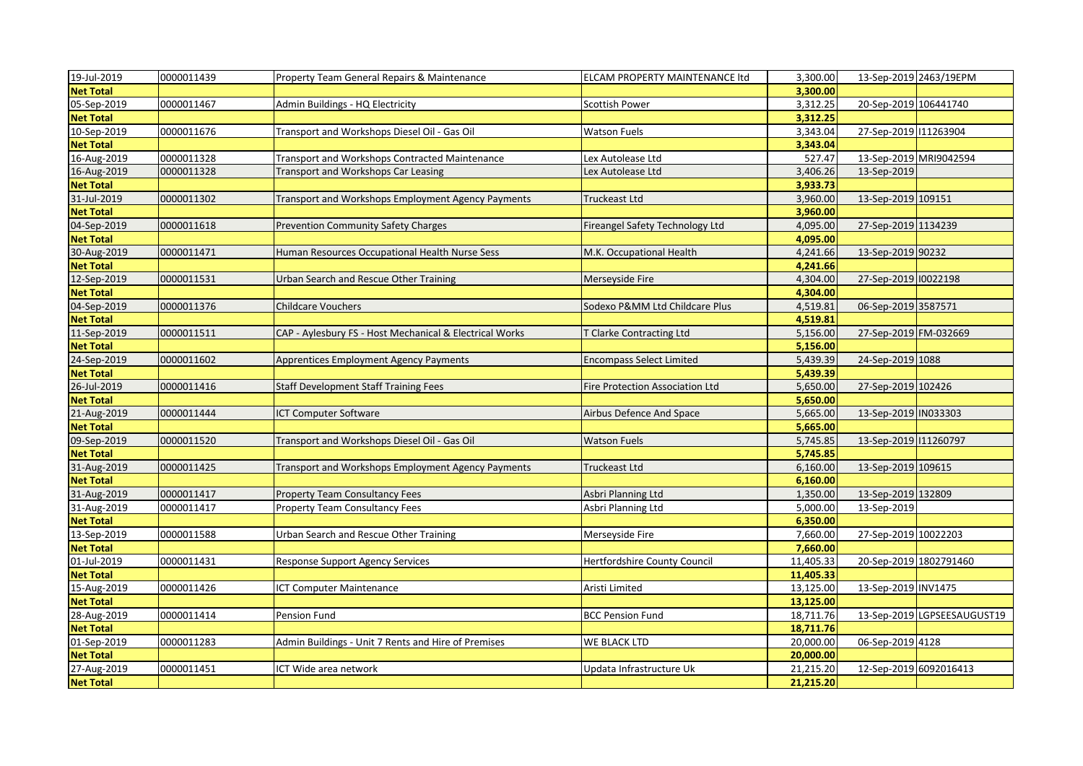| 19-Jul-2019      | 0000011439 | Property Team General Repairs & Maintenance             | ELCAM PROPERTY MAINTENANCE ltd  | 3,300.00  | 13-Sep-2019 2463/19EPM |                             |
|------------------|------------|---------------------------------------------------------|---------------------------------|-----------|------------------------|-----------------------------|
| <b>Net Total</b> |            |                                                         |                                 | 3.300.00  |                        |                             |
| 05-Sep-2019      | 0000011467 | Admin Buildings - HQ Electricity                        | Scottish Power                  | 3,312.25  | 20-Sep-2019 106441740  |                             |
| <b>Net Total</b> |            |                                                         |                                 | 3,312.25  |                        |                             |
| 10-Sep-2019      | 0000011676 | Transport and Workshops Diesel Oil - Gas Oil            | Watson Fuels                    | 3,343.04  | 27-Sep-2019 11263904   |                             |
| <b>Net Total</b> |            |                                                         |                                 | 3,343.04  |                        |                             |
| 16-Aug-2019      | 0000011328 | Transport and Workshops Contracted Maintenance          | Lex Autolease Ltd               | 527.47    | 13-Sep-2019 MRI9042594 |                             |
| 16-Aug-2019      | 0000011328 | Transport and Workshops Car Leasing                     | Lex Autolease Ltd               | 3,406.26  | 13-Sep-2019            |                             |
| <b>Net Total</b> |            |                                                         |                                 | 3,933.73  |                        |                             |
| 31-Jul-2019      | 0000011302 | Transport and Workshops Employment Agency Payments      | Truckeast Ltd                   | 3,960.00  | 13-Sep-2019 109151     |                             |
| <b>Net Total</b> |            |                                                         |                                 | 3,960.00  |                        |                             |
| 04-Sep-2019      | 0000011618 | Prevention Community Safety Charges                     | Fireangel Safety Technology Ltd | 4,095.00  | 27-Sep-2019 1134239    |                             |
| <b>Net Total</b> |            |                                                         |                                 | 4,095.00  |                        |                             |
| 30-Aug-2019      | 0000011471 | Human Resources Occupational Health Nurse Sess          | M.K. Occupational Health        | 4,241.66  | 13-Sep-2019 90232      |                             |
| <b>Net Total</b> |            |                                                         |                                 | 4,241.66  |                        |                             |
| 12-Sep-2019      | 0000011531 | Urban Search and Rescue Other Training                  | Merseyside Fire                 | 4,304.00  | 27-Sep-2019 10022198   |                             |
| <b>Net Total</b> |            |                                                         |                                 | 4,304.00  |                        |                             |
| 04-Sep-2019      | 0000011376 | <b>Childcare Vouchers</b>                               | Sodexo P&MM Ltd Childcare Plus  | 4,519.81  | 06-Sep-2019 3587571    |                             |
| <b>Net Total</b> |            |                                                         |                                 | 4,519.81  |                        |                             |
| 11-Sep-2019      | 0000011511 | CAP - Aylesbury FS - Host Mechanical & Electrical Works | T Clarke Contracting Ltd        | 5,156.00  | 27-Sep-2019 FM-032669  |                             |
| <b>Net Total</b> |            |                                                         |                                 | 5,156.00  |                        |                             |
| 24-Sep-2019      | 0000011602 | Apprentices Employment Agency Payments                  | Encompass Select Limited        | 5,439.39  | 24-Sep-2019 1088       |                             |
| <b>Net Total</b> |            |                                                         |                                 | 5,439.39  |                        |                             |
| 26-Jul-2019      | 0000011416 | <b>Staff Development Staff Training Fees</b>            | Fire Protection Association Ltd | 5,650.00  | 27-Sep-2019 102426     |                             |
| <b>Net Total</b> |            |                                                         |                                 | 5,650.00  |                        |                             |
| 21-Aug-2019      | 0000011444 | <b>ICT Computer Software</b>                            | Airbus Defence And Space        | 5,665.00  | 13-Sep-2019 IN033303   |                             |
| <b>Net Total</b> |            |                                                         |                                 | 5,665.00  |                        |                             |
| 09-Sep-2019      | 0000011520 | Transport and Workshops Diesel Oil - Gas Oil            | <b>Watson Fuels</b>             | 5,745.85  | 13-Sep-2019 11260797   |                             |
| <b>Net Total</b> |            |                                                         |                                 | 5,745.85  |                        |                             |
| 31-Aug-2019      | 0000011425 | Transport and Workshops Employment Agency Payments      | Truckeast Ltd                   | 6,160.00  | 13-Sep-2019 109615     |                             |
| <b>Net Total</b> |            |                                                         |                                 | 6,160.00  |                        |                             |
| 31-Aug-2019      | 0000011417 | <b>Property Team Consultancy Fees</b>                   | Asbri Planning Ltd              | 1,350.00  | 13-Sep-2019 132809     |                             |
| 31-Aug-2019      | 0000011417 | Property Team Consultancy Fees                          | Asbri Planning Ltd              | 5,000.00  | 13-Sep-2019            |                             |
| <b>Net Total</b> |            |                                                         |                                 | 6,350.00  |                        |                             |
| 13-Sep-2019      | 0000011588 | Urban Search and Rescue Other Training                  | Merseyside Fire                 | 7,660.00  | 27-Sep-2019 10022203   |                             |
| <b>Net Total</b> |            |                                                         |                                 | 7,660.00  |                        |                             |
| 01-Jul-2019      | 0000011431 | <b>Response Support Agency Services</b>                 | Hertfordshire County Council    | 11,405.33 | 20-Sep-2019 1802791460 |                             |
| <b>Net Total</b> |            |                                                         |                                 | 11,405.33 |                        |                             |
| 15-Aug-2019      | 0000011426 | <b>ICT Computer Maintenance</b>                         | Aristi Limited                  | 13,125.00 | 13-Sep-2019 INV1475    |                             |
| <b>Net Total</b> |            |                                                         |                                 | 13,125.00 |                        |                             |
| 28-Aug-2019      | 0000011414 | Pension Fund                                            | <b>BCC Pension Fund</b>         | 18,711.76 |                        | 13-Sep-2019 LGPSEESAUGUST19 |
| <b>Net Total</b> |            |                                                         |                                 | 18,711.76 |                        |                             |
| 01-Sep-2019      | 0000011283 | Admin Buildings - Unit 7 Rents and Hire of Premises     | WE BLACK LTD                    | 20,000.00 | 06-Sep-2019 4128       |                             |
| <b>Net Total</b> |            |                                                         |                                 | 20,000.00 |                        |                             |
| 27-Aug-2019      | 0000011451 | ICT Wide area network                                   | Updata Infrastructure Uk        | 21,215.20 | 12-Sep-2019 6092016413 |                             |
| <b>Net Total</b> |            |                                                         |                                 | 21,215.20 |                        |                             |